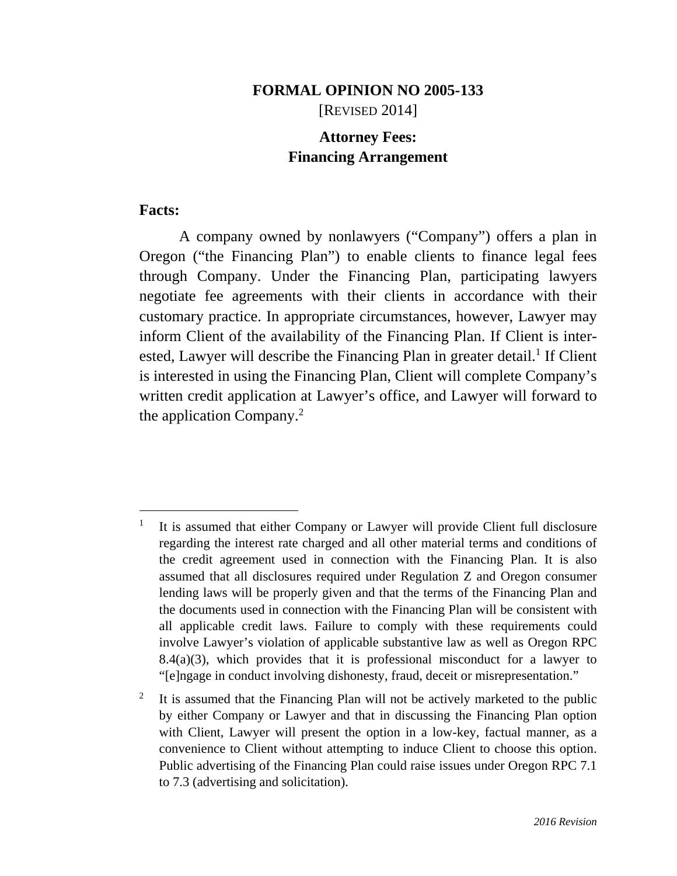## **FORMAL OPINION NO 2005-133**  [REVISED 2014]

# **Attorney Fees: Financing Arrangement**

### **Facts:**

-

A company owned by nonlawyers ("Company") offers a plan in Oregon ("the Financing Plan") to enable clients to finance legal fees through Company. Under the Financing Plan, participating lawyers negotiate fee agreements with their clients in accordance with their customary practice. In appropriate circumstances, however, Lawyer may inform Client of the availability of the Financing Plan. If Client is interested, Lawyer will describe the Financing Plan in greater detail.<sup>1</sup> If Client is interested in using the Financing Plan, Client will complete Company's written credit application at Lawyer's office, and Lawyer will forward to the application Company.2

<sup>1</sup> It is assumed that either Company or Lawyer will provide Client full disclosure regarding the interest rate charged and all other material terms and conditions of the credit agreement used in connection with the Financing Plan. It is also assumed that all disclosures required under Regulation Z and Oregon consumer lending laws will be properly given and that the terms of the Financing Plan and the documents used in connection with the Financing Plan will be consistent with all applicable credit laws. Failure to comply with these requirements could involve Lawyer's violation of applicable substantive law as well as Oregon RPC  $8.4(a)(3)$ , which provides that it is professional misconduct for a lawyer to "[e]ngage in conduct involving dishonesty, fraud, deceit or misrepresentation."

<sup>2</sup> It is assumed that the Financing Plan will not be actively marketed to the public by either Company or Lawyer and that in discussing the Financing Plan option with Client, Lawyer will present the option in a low-key, factual manner, as a convenience to Client without attempting to induce Client to choose this option. Public advertising of the Financing Plan could raise issues under Oregon RPC 7.1 to 7.3 (advertising and solicitation).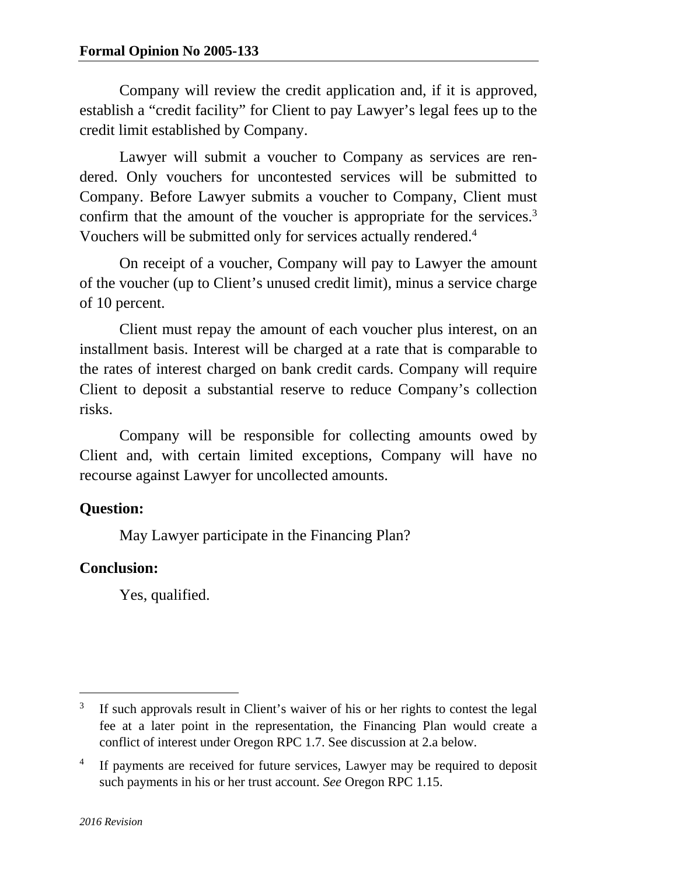Company will review the credit application and, if it is approved, establish a "credit facility" for Client to pay Lawyer's legal fees up to the credit limit established by Company.

Lawyer will submit a voucher to Company as services are rendered. Only vouchers for uncontested services will be submitted to Company. Before Lawyer submits a voucher to Company, Client must confirm that the amount of the voucher is appropriate for the services.<sup>3</sup> Vouchers will be submitted only for services actually rendered.<sup>4</sup>

On receipt of a voucher, Company will pay to Lawyer the amount of the voucher (up to Client's unused credit limit), minus a service charge of 10 percent.

Client must repay the amount of each voucher plus interest, on an installment basis. Interest will be charged at a rate that is comparable to the rates of interest charged on bank credit cards. Company will require Client to deposit a substantial reserve to reduce Company's collection risks.

Company will be responsible for collecting amounts owed by Client and, with certain limited exceptions, Company will have no recourse against Lawyer for uncollected amounts.

## **Question:**

May Lawyer participate in the Financing Plan?

## **Conclusion:**

Yes, qualified.

 $\overline{a}$ 

<sup>3</sup> If such approvals result in Client's waiver of his or her rights to contest the legal fee at a later point in the representation, the Financing Plan would create a conflict of interest under Oregon RPC 1.7. See discussion at 2.a below.

<sup>4</sup> If payments are received for future services, Lawyer may be required to deposit such payments in his or her trust account. *See* Oregon RPC 1.15.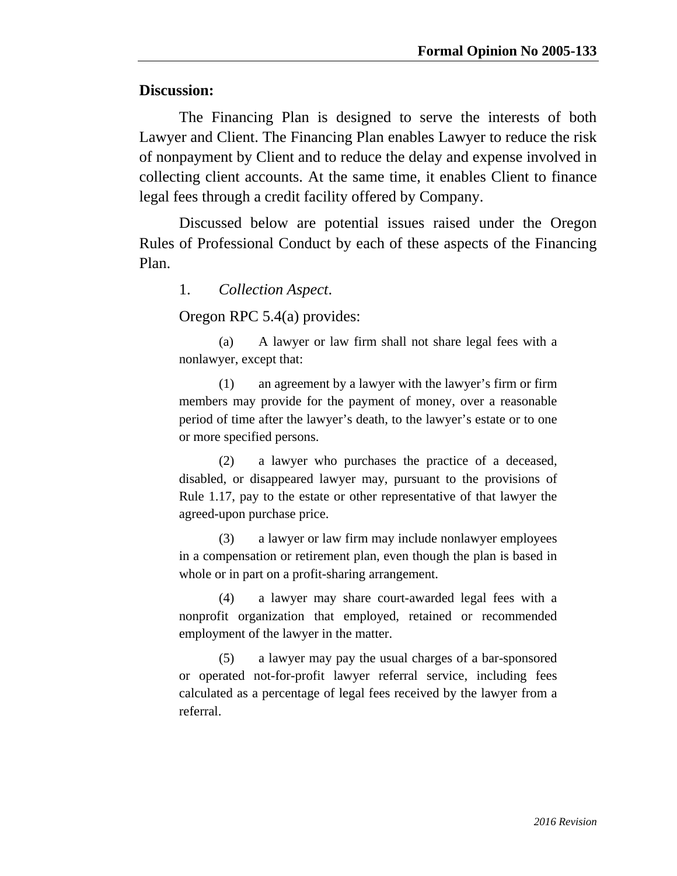### **Discussion:**

The Financing Plan is designed to serve the interests of both Lawyer and Client. The Financing Plan enables Lawyer to reduce the risk of nonpayment by Client and to reduce the delay and expense involved in collecting client accounts. At the same time, it enables Client to finance legal fees through a credit facility offered by Company.

Discussed below are potential issues raised under the Oregon Rules of Professional Conduct by each of these aspects of the Financing Plan.

1. *Collection Aspect*.

Oregon RPC 5.4(a) provides:

 (a) A lawyer or law firm shall not share legal fees with a nonlawyer, except that:

 (1) an agreement by a lawyer with the lawyer's firm or firm members may provide for the payment of money, over a reasonable period of time after the lawyer's death, to the lawyer's estate or to one or more specified persons.

 (2) a lawyer who purchases the practice of a deceased, disabled, or disappeared lawyer may, pursuant to the provisions of Rule 1.17, pay to the estate or other representative of that lawyer the agreed-upon purchase price.

 (3) a lawyer or law firm may include nonlawyer employees in a compensation or retirement plan, even though the plan is based in whole or in part on a profit-sharing arrangement.

 (4) a lawyer may share court-awarded legal fees with a nonprofit organization that employed, retained or recommended employment of the lawyer in the matter.

 (5) a lawyer may pay the usual charges of a bar-sponsored or operated not-for-profit lawyer referral service, including fees calculated as a percentage of legal fees received by the lawyer from a referral.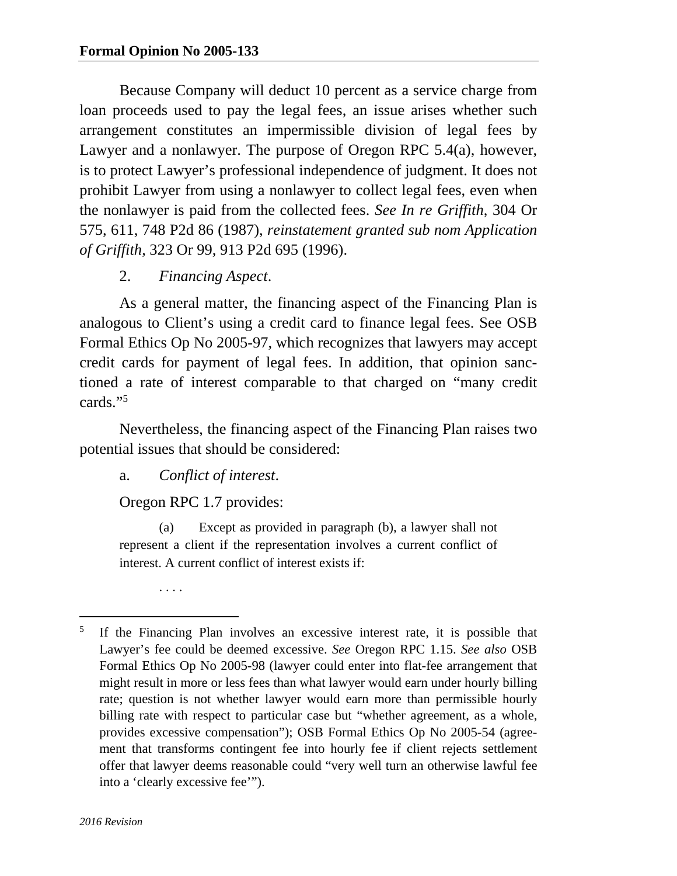Because Company will deduct 10 percent as a service charge from loan proceeds used to pay the legal fees, an issue arises whether such arrangement constitutes an impermissible division of legal fees by Lawyer and a nonlawyer. The purpose of Oregon RPC 5.4(a), however, is to protect Lawyer's professional independence of judgment. It does not prohibit Lawyer from using a nonlawyer to collect legal fees, even when the nonlawyer is paid from the collected fees. *See In re Griffith*, 304 Or 575, 611, 748 P2d 86 (1987), *reinstatement granted sub nom Application of Griffith*, 323 Or 99, 913 P2d 695 (1996).

## 2. *Financing Aspect*.

As a general matter, the financing aspect of the Financing Plan is analogous to Client's using a credit card to finance legal fees. See OSB Formal Ethics Op No 2005-97, which recognizes that lawyers may accept credit cards for payment of legal fees. In addition, that opinion sanctioned a rate of interest comparable to that charged on "many credit cards."5

Nevertheless, the financing aspect of the Financing Plan raises two potential issues that should be considered:

a. *Conflict of interest*.

Oregon RPC 1.7 provides:

 (a) Except as provided in paragraph (b), a lawyer shall not represent a client if the representation involves a current conflict of interest. A current conflict of interest exists if:

. . . .

 $\overline{a}$ 

<sup>5</sup> If the Financing Plan involves an excessive interest rate, it is possible that Lawyer's fee could be deemed excessive. *See* Oregon RPC 1.15. *See also* OSB Formal Ethics Op No 2005-98 (lawyer could enter into flat-fee arrangement that might result in more or less fees than what lawyer would earn under hourly billing rate; question is not whether lawyer would earn more than permissible hourly billing rate with respect to particular case but "whether agreement, as a whole, provides excessive compensation"); OSB Formal Ethics Op No 2005-54 (agreement that transforms contingent fee into hourly fee if client rejects settlement offer that lawyer deems reasonable could "very well turn an otherwise lawful fee into a 'clearly excessive fee'").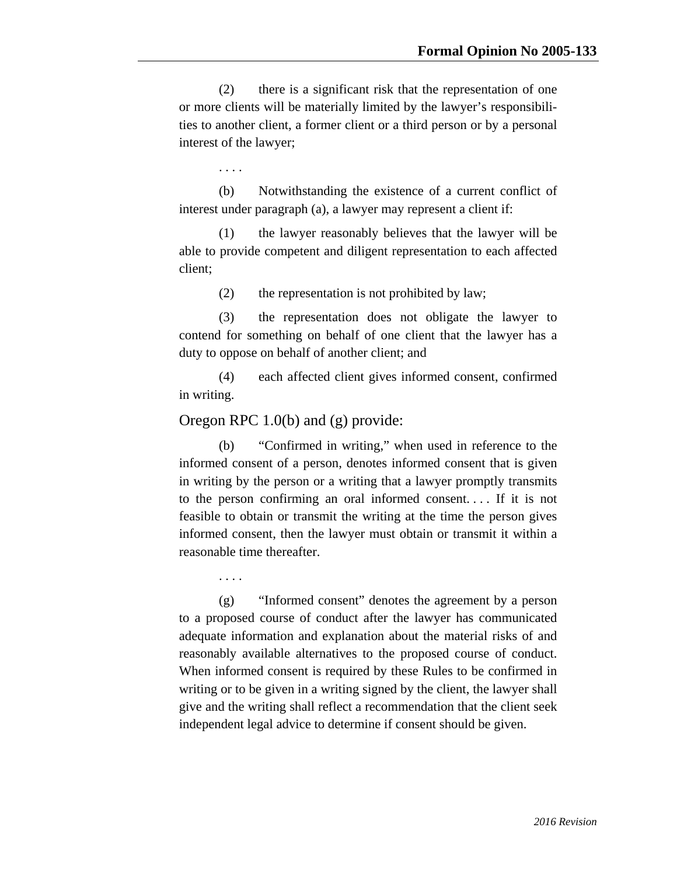(2) there is a significant risk that the representation of one or more clients will be materially limited by the lawyer's responsibilities to another client, a former client or a third person or by a personal interest of the lawyer;

. . . .

 (b) Notwithstanding the existence of a current conflict of interest under paragraph (a), a lawyer may represent a client if:

 (1) the lawyer reasonably believes that the lawyer will be able to provide competent and diligent representation to each affected client;

(2) the representation is not prohibited by law;

 (3) the representation does not obligate the lawyer to contend for something on behalf of one client that the lawyer has a duty to oppose on behalf of another client; and

 (4) each affected client gives informed consent, confirmed in writing.

#### Oregon RPC 1.0(b) and (g) provide:

 (b) "Confirmed in writing," when used in reference to the informed consent of a person, denotes informed consent that is given in writing by the person or a writing that a lawyer promptly transmits to the person confirming an oral informed consent. . . . If it is not feasible to obtain or transmit the writing at the time the person gives informed consent, then the lawyer must obtain or transmit it within a reasonable time thereafter.

. . . .

 (g) "Informed consent" denotes the agreement by a person to a proposed course of conduct after the lawyer has communicated adequate information and explanation about the material risks of and reasonably available alternatives to the proposed course of conduct. When informed consent is required by these Rules to be confirmed in writing or to be given in a writing signed by the client, the lawyer shall give and the writing shall reflect a recommendation that the client seek independent legal advice to determine if consent should be given.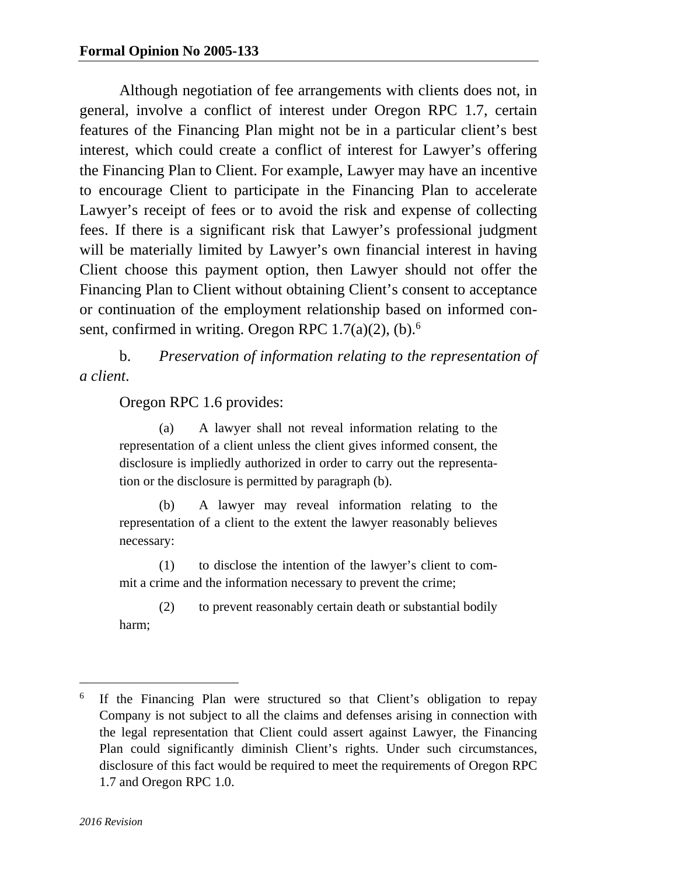Although negotiation of fee arrangements with clients does not, in general, involve a conflict of interest under Oregon RPC 1.7, certain features of the Financing Plan might not be in a particular client's best interest, which could create a conflict of interest for Lawyer's offering the Financing Plan to Client. For example, Lawyer may have an incentive to encourage Client to participate in the Financing Plan to accelerate Lawyer's receipt of fees or to avoid the risk and expense of collecting fees. If there is a significant risk that Lawyer's professional judgment will be materially limited by Lawyer's own financial interest in having Client choose this payment option, then Lawyer should not offer the Financing Plan to Client without obtaining Client's consent to acceptance or continuation of the employment relationship based on informed consent, confirmed in writing. Oregon RPC  $1.7(a)(2)$ , (b).<sup>6</sup>

b. *Preservation of information relating to the representation of a client*.

Oregon RPC 1.6 provides:

 (a) A lawyer shall not reveal information relating to the representation of a client unless the client gives informed consent, the disclosure is impliedly authorized in order to carry out the representation or the disclosure is permitted by paragraph (b).

 (b) A lawyer may reveal information relating to the representation of a client to the extent the lawyer reasonably believes necessary:

 (1) to disclose the intention of the lawyer's client to commit a crime and the information necessary to prevent the crime;

 (2) to prevent reasonably certain death or substantial bodily harm;

 $\overline{a}$ 

<sup>6</sup> If the Financing Plan were structured so that Client's obligation to repay Company is not subject to all the claims and defenses arising in connection with the legal representation that Client could assert against Lawyer, the Financing Plan could significantly diminish Client's rights. Under such circumstances, disclosure of this fact would be required to meet the requirements of Oregon RPC 1.7 and Oregon RPC 1.0.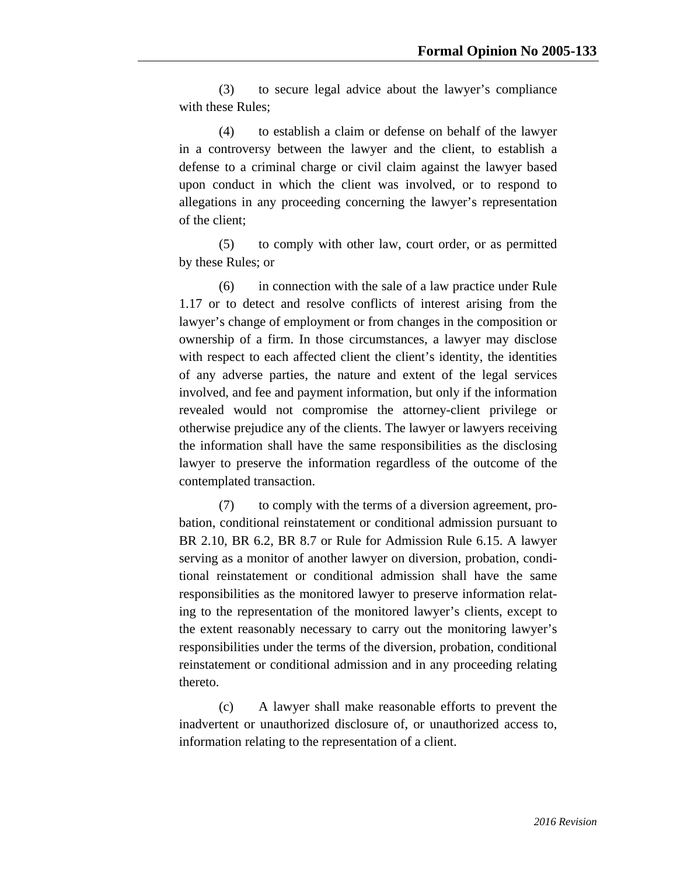(3) to secure legal advice about the lawyer's compliance with these Rules;

 (4) to establish a claim or defense on behalf of the lawyer in a controversy between the lawyer and the client, to establish a defense to a criminal charge or civil claim against the lawyer based upon conduct in which the client was involved, or to respond to allegations in any proceeding concerning the lawyer's representation of the client;

 (5) to comply with other law, court order, or as permitted by these Rules; or

 (6) in connection with the sale of a law practice under Rule 1.17 or to detect and resolve conflicts of interest arising from the lawyer's change of employment or from changes in the composition or ownership of a firm. In those circumstances, a lawyer may disclose with respect to each affected client the client's identity, the identities of any adverse parties, the nature and extent of the legal services involved, and fee and payment information, but only if the information revealed would not compromise the attorney-client privilege or otherwise prejudice any of the clients. The lawyer or lawyers receiving the information shall have the same responsibilities as the disclosing lawyer to preserve the information regardless of the outcome of the contemplated transaction.

 (7) to comply with the terms of a diversion agreement, probation, conditional reinstatement or conditional admission pursuant to BR 2.10, BR 6.2, BR 8.7 or Rule for Admission Rule 6.15. A lawyer serving as a monitor of another lawyer on diversion, probation, conditional reinstatement or conditional admission shall have the same responsibilities as the monitored lawyer to preserve information relating to the representation of the monitored lawyer's clients, except to the extent reasonably necessary to carry out the monitoring lawyer's responsibilities under the terms of the diversion, probation, conditional reinstatement or conditional admission and in any proceeding relating thereto.

 (c) A lawyer shall make reasonable efforts to prevent the inadvertent or unauthorized disclosure of, or unauthorized access to, information relating to the representation of a client.